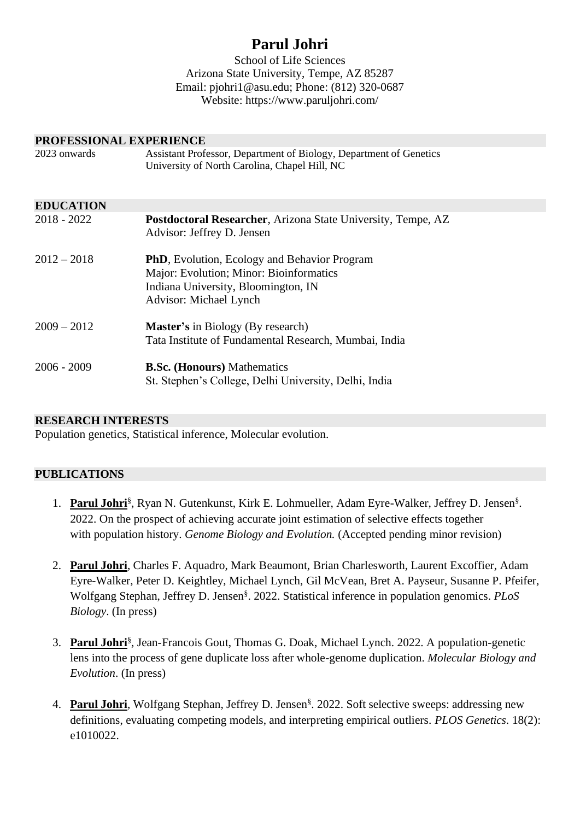# **Parul Johri**

School of Life Sciences Arizona State University, Tempe, AZ 85287 Email: [pjohri1@asu.edu;](mailto:pjohri1@asu.edu) Phone: (812) 320-0687 Website:<https://www.paruljohri.com/>

| PROFESSIONAL EXPERIENCE |                                                                                                                                                                  |  |
|-------------------------|------------------------------------------------------------------------------------------------------------------------------------------------------------------|--|
| 2023 onwards            | Assistant Professor, Department of Biology, Department of Genetics<br>University of North Carolina, Chapel Hill, NC                                              |  |
| <b>EDUCATION</b>        |                                                                                                                                                                  |  |
| 2018 - 2022             | <b>Postdoctoral Researcher, Arizona State University, Tempe, AZ</b><br>Advisor: Jeffrey D. Jensen                                                                |  |
| $2012 - 2018$           | <b>PhD</b> , Evolution, Ecology and Behavior Program<br>Major: Evolution; Minor: Bioinformatics<br>Indiana University, Bloomington, IN<br>Advisor: Michael Lynch |  |
| $2009 - 2012$           | <b>Master's</b> in Biology (By research)<br>Tata Institute of Fundamental Research, Mumbai, India                                                                |  |
| $2006 - 2009$           | <b>B.Sc. (Honours)</b> Mathematics<br>St. Stephen's College, Delhi University, Delhi, India                                                                      |  |

## **RESEARCH INTERESTS**

Population genetics, Statistical inference, Molecular evolution.

## **PUBLICATIONS**

- 1. Parul Johri<sup>§</sup>, Ryan N. Gutenkunst, Kirk E. Lohmueller, Adam Eyre-Walker, Jeffrey D. Jensen<sup>§</sup>. 2022. On the prospect of achieving accurate joint estimation of selective effects together with population history. *Genome Biology and Evolution*. (Accepted pending minor revision)
- 2. **Parul Johri**, Charles F. Aquadro, Mark Beaumont, Brian Charlesworth, Laurent Excoffier, Adam Eyre-Walker, Peter D. Keightley, Michael Lynch, Gil McVean, Bret A. Payseur, Susanne P. Pfeifer, Wolfgang Stephan, Jeffrey D. Jensen§ . 2022. Statistical inference in population genomics. *PLoS Biology*. (In press)
- 3. **Parul Johri**§ , Jean-Francois Gout, Thomas G. Doak, Michael Lynch. 2022. A population-genetic lens into the process of gene duplicate loss after whole-genome duplication. *Molecular Biology and Evolution*. (In press)
- 4. Parul Johri, Wolfgang Stephan, Jeffrey D. Jensen<sup>§</sup>. 2022. Soft selective sweeps: addressing new definitions, evaluating competing models, and interpreting empirical outliers. *PLOS Genetics.* 18(2): e1010022.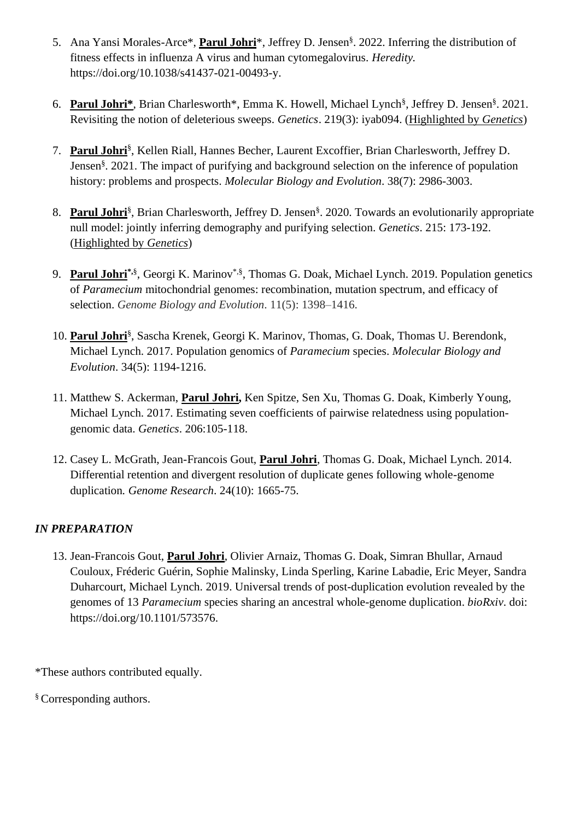- 5. Ana Yansi Morales-Arce\*, **Parul Johri**\*, Jeffrey D. Jensen§ . 2022. Inferring the distribution of fitness effects in influenza A virus and human cytomegalovirus. *Heredity.* https://doi.org/10.1038/s41437-021-00493-y.
- 6. **Parul Johri\***, Brian Charlesworth\*, Emma K. Howell, Michael Lynch§ , Jeffrey D. Jensen§ . 2021. Revisiting the notion of deleterious sweeps. *Genetics*. 219(3): iyab094. (Highlighted by *Genetics*)
- 7. **Parul Johri**§ , Kellen Riall, Hannes Becher, Laurent Excoffier, Brian Charlesworth, Jeffrey D. Jensen§ . 2021. The impact of purifying and background selection on the inference of population history: problems and prospects. *Molecular Biology and Evolution*. 38(7): 2986-3003.
- 8. Parul Johri<sup>§</sup>, Brian Charlesworth, Jeffrey D. Jensen<sup>§</sup>. 2020. Towards an evolutionarily appropriate null model: jointly inferring demography and purifying selection. *Genetics*. 215: 173-192. (Highlighted by *Genetics*)
- 9. Parul Johri<sup>\*,§</sup>, Georgi K. Marinov<sup>\*,§</sup>, Thomas G. Doak, Michael Lynch. 2019. Population genetics of *Paramecium* mitochondrial genomes: recombination, mutation spectrum, and efficacy of selection. *Genome Biology and Evolution*. 11(5): 1398–1416.
- 10. **Parul Johri**§ , Sascha Krenek, Georgi K. Marinov, Thomas, G. Doak, Thomas U. Berendonk, Michael Lynch. 2017. Population genomics of *Paramecium* species. *Molecular Biology and Evolution*. 34(5): 1194-1216.
- 11. Matthew S. Ackerman, **Parul Johri,** Ken Spitze, Sen Xu, Thomas G. Doak, Kimberly Young, Michael Lynch. 2017. Estimating seven coefficients of pairwise relatedness using populationgenomic data. *Genetics*. 206:105-118.
- 12. Casey L. McGrath, Jean-Francois Gout, **Parul Johri**, Thomas G. Doak, Michael Lynch. 2014. Differential retention and divergent resolution of duplicate genes following whole-genome duplication*. Genome Research*. 24(10): 1665-75.

# *IN PREPARATION*

13. Jean-Francois Gout, **Parul Johri**, Olivier Arnaiz, Thomas G. Doak, Simran Bhullar, Arnaud Couloux, Fréderic Guérin, Sophie Malinsky, Linda Sperling, Karine Labadie, Eric Meyer, Sandra Duharcourt, Michael Lynch. 2019. Universal trends of post-duplication evolution revealed by the genomes of 13 *Paramecium* species sharing an ancestral whole-genome duplication. *bioRxiv*. doi: [https://doi.org/10.1101/573576.](https://doi.org/10.1101/573576)

\*These authors contributed equally.

§Corresponding authors.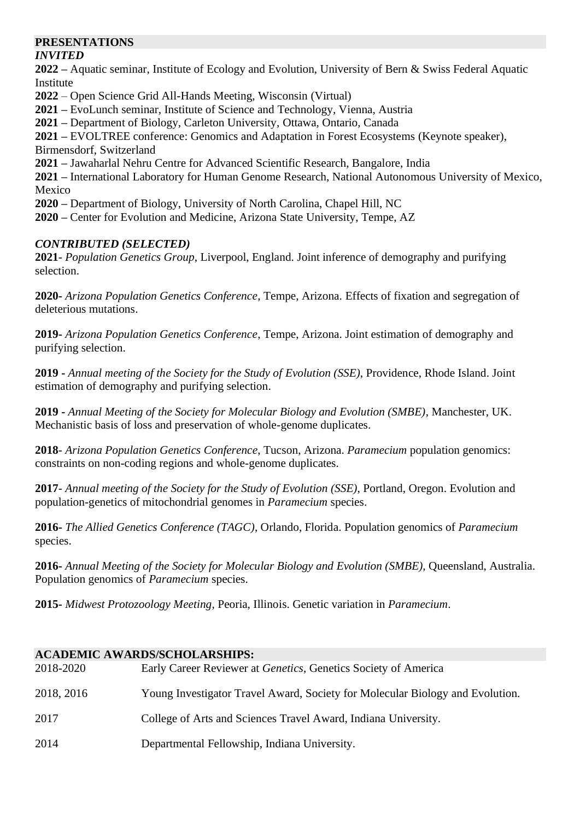## **PRESENTATIONS**

## *INVITED*

**2022 –** Aquatic seminar, Institute of Ecology and Evolution, University of Bern & Swiss Federal Aquatic Institute

**2022** – Open Science Grid All-Hands Meeting, Wisconsin (Virtual)

**2021 –** EvoLunch seminar, Institute of Science and Technology, Vienna, Austria

**2021 –** Department of Biology, Carleton University, Ottawa, Ontario, Canada

**2021 –** EVOLTREE conference: Genomics and Adaptation in Forest Ecosystems (Keynote speaker), Birmensdorf, Switzerland

**2021 –** Jawaharlal Nehru Centre for Advanced Scientific Research, Bangalore, India

**2021 –** International Laboratory for Human Genome Research, National Autonomous University of Mexico, Mexico

**2020 –** Department of Biology, University of North Carolina, Chapel Hill, NC

**2020 –** Center for Evolution and Medicine, Arizona State University, Tempe, AZ

## *CONTRIBUTED (SELECTED)*

**2021**- *Population Genetics Group*, Liverpool, England. Joint inference of demography and purifying selection.

**2020-** *Arizona Population Genetics Conference*, Tempe, Arizona. Effects of fixation and segregation of deleterious mutations.

**2019-** *Arizona Population Genetics Conference*, Tempe, Arizona. Joint estimation of demography and purifying selection.

**2019 -** *Annual meeting of the Society for the Study of Evolution (SSE)*, Providence, Rhode Island. Joint estimation of demography and purifying selection.

**2019 -** *Annual Meeting of the Society for Molecular Biology and Evolution (SMBE)*, Manchester, UK. Mechanistic basis of loss and preservation of whole-genome duplicates.

**2018**- *Arizona Population Genetics Conference*, Tucson, Arizona. *Paramecium* population genomics: constraints on non-coding regions and whole-genome duplicates.

**2017**- *Annual meeting of the Society for the Study of Evolution (SSE)*, Portland, Oregon. Evolution and population-genetics of mitochondrial genomes in *Paramecium* species.

**2016-** *The Allied Genetics Conference (TAGC)*, Orlando, Florida. Population genomics of *Paramecium* species.

**2016-** *Annual Meeting of the Society for Molecular Biology and Evolution (SMBE)*, Queensland, Australia. Population genomics of *Paramecium* species.

**2015-** *Midwest Protozoology Meeting*, Peoria, Illinois. Genetic variation in *Paramecium*.

## **ACADEMIC AWARDS/SCHOLARSHIPS:**

| 2018-2020  | Early Career Reviewer at <i>Genetics</i> , Genetics Society of America        |
|------------|-------------------------------------------------------------------------------|
| 2018, 2016 | Young Investigator Travel Award, Society for Molecular Biology and Evolution. |
| 2017       | College of Arts and Sciences Travel Award, Indiana University.                |
| 2014       | Departmental Fellowship, Indiana University.                                  |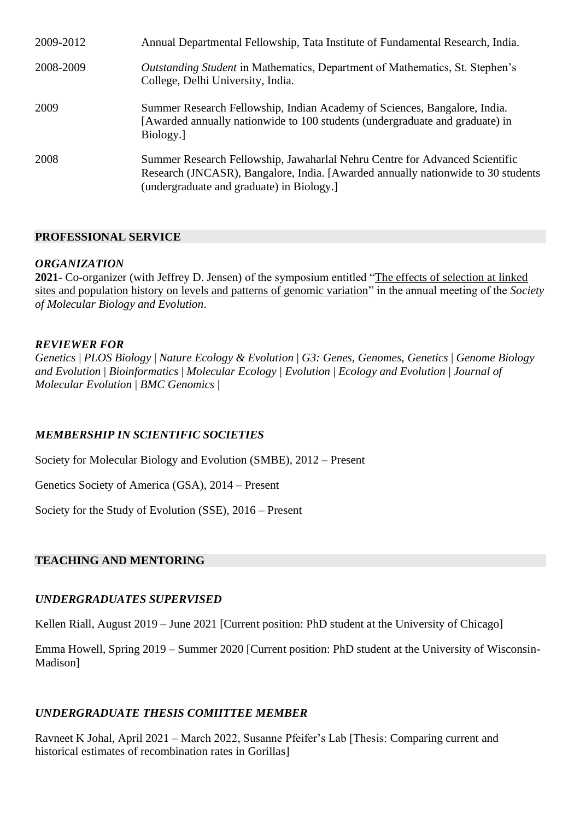| 2009-2012 | Annual Departmental Fellowship, Tata Institute of Fundamental Research, India.                                                                                                                              |
|-----------|-------------------------------------------------------------------------------------------------------------------------------------------------------------------------------------------------------------|
| 2008-2009 | <i>Outstanding Student</i> in Mathematics, Department of Mathematics, St. Stephen's<br>College, Delhi University, India.                                                                                    |
| 2009      | Summer Research Fellowship, Indian Academy of Sciences, Bangalore, India.<br>[Awarded annually nationwide to 100 students (undergraduate and graduate) in<br>Biology.                                       |
| 2008      | Summer Research Fellowship, Jawaharlal Nehru Centre for Advanced Scientific<br>Research (JNCASR), Bangalore, India. [Awarded annually nationwide to 30 students<br>(undergraduate and graduate) in Biology. |

#### **PROFESSIONAL SERVICE**

#### *ORGANIZATION*

**2021**- Co-organizer (with Jeffrey D. Jensen) of the symposium entitled "The effects of selection at linked sites and population history on levels and patterns of genomic variation" in the annual meeting of the *Society of Molecular Biology and Evolution*.

#### *REVIEWER FOR*

*Genetics* | *PLOS Biology* | *Nature Ecology & Evolution* | *G3: Genes, Genomes, Genetics* | *Genome Biology and Evolution* | *Bioinformatics* | *Molecular Ecology* | *Evolution* | *Ecology and Evolution* | *Journal of Molecular Evolution* | *BMC Genomics* |

#### *MEMBERSHIP IN SCIENTIFIC SOCIETIES*

Society for Molecular Biology and Evolution (SMBE), 2012 – Present

Genetics Society of America (GSA), 2014 – Present

Society for the Study of Evolution (SSE), 2016 – Present

#### **TEACHING AND MENTORING**

#### *UNDERGRADUATES SUPERVISED*

Kellen Riall, August 2019 – June 2021 [Current position: PhD student at the University of Chicago]

Emma Howell, Spring 2019 – Summer 2020 [Current position: PhD student at the University of Wisconsin-Madison]

## *UNDERGRADUATE THESIS COMIITTEE MEMBER*

Ravneet K Johal, April 2021 – March 2022, Susanne Pfeifer's Lab [Thesis: Comparing current and historical estimates of recombination rates in Gorillas]